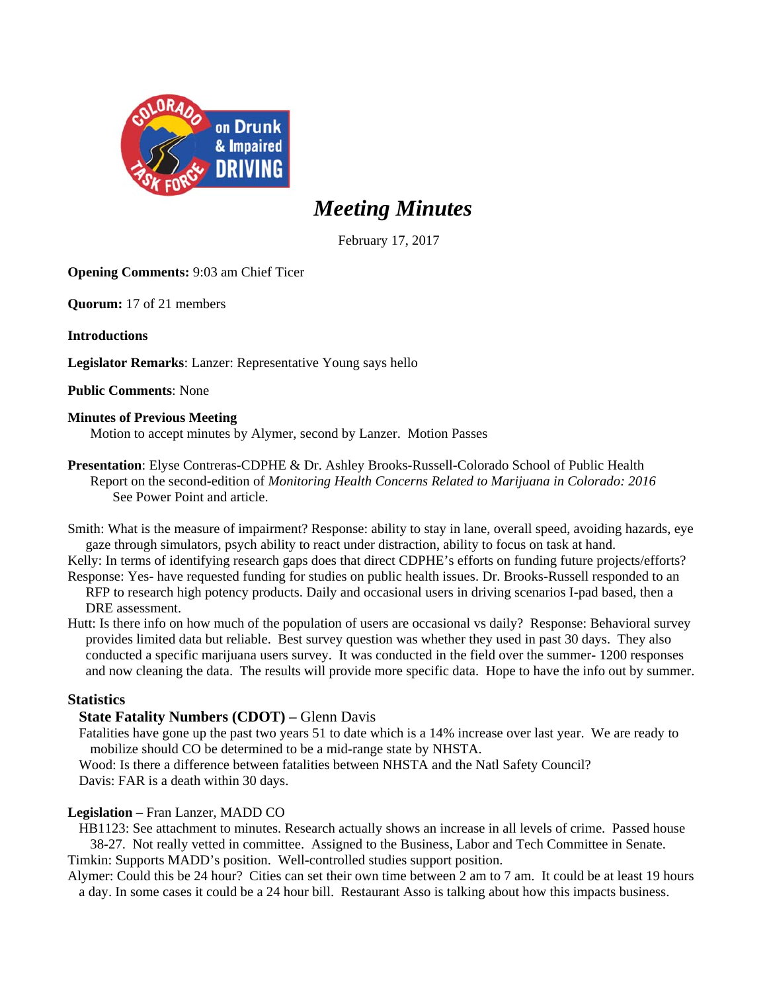

# *Meeting Minutes*

February 17, 2017

**Opening Comments:** 9:03 am Chief Ticer

**Quorum:** 17 of 21 members

**Introductions** 

**Legislator Remarks**: Lanzer: Representative Young says hello

**Public Comments**: None

## **Minutes of Previous Meeting**

Motion to accept minutes by Alymer, second by Lanzer. Motion Passes

**Presentation**: Elyse Contreras-CDPHE & Dr. Ashley Brooks-Russell-Colorado School of Public Health Report on the second-edition of *Monitoring Health Concerns Related to Marijuana in Colorado: 2016*  See Power Point and article.

Smith: What is the measure of impairment? Response: ability to stay in lane, overall speed, avoiding hazards, eye gaze through simulators, psych ability to react under distraction, ability to focus on task at hand.

Kelly: In terms of identifying research gaps does that direct CDPHE's efforts on funding future projects/efforts? Response: Yes- have requested funding for studies on public health issues. Dr. Brooks-Russell responded to an

- RFP to research high potency products. Daily and occasional users in driving scenarios I-pad based, then a DRE assessment.
- Hutt: Is there info on how much of the population of users are occasional vs daily? Response: Behavioral survey provides limited data but reliable. Best survey question was whether they used in past 30 days. They also conducted a specific marijuana users survey. It was conducted in the field over the summer- 1200 responses and now cleaning the data. The results will provide more specific data. Hope to have the info out by summer.

# **Statistics**

# **State Fatality Numbers (CDOT) – Glenn Davis**

Fatalities have gone up the past two years 51 to date which is a 14% increase over last year. We are ready to mobilize should CO be determined to be a mid-range state by NHSTA.

Wood: Is there a difference between fatalities between NHSTA and the Natl Safety Council? Davis: FAR is a death within 30 days.

# **Legislation –** Fran Lanzer, MADD CO

HB1123: See attachment to minutes. Research actually shows an increase in all levels of crime. Passed house 38-27. Not really vetted in committee. Assigned to the Business, Labor and Tech Committee in Senate. Timkin: Supports MADD's position. Well-controlled studies support position.

Alymer: Could this be 24 hour? Cities can set their own time between 2 am to 7 am. It could be at least 19 hours a day. In some cases it could be a 24 hour bill. Restaurant Asso is talking about how this impacts business.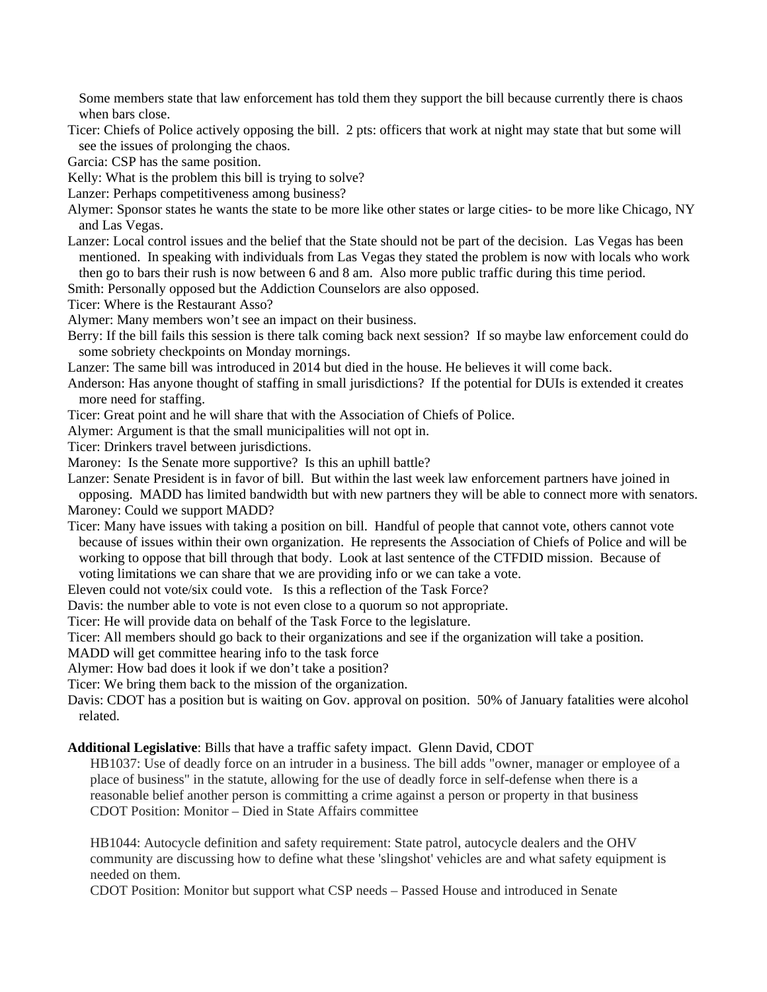Some members state that law enforcement has told them they support the bill because currently there is chaos when bars close.

Ticer: Chiefs of Police actively opposing the bill. 2 pts: officers that work at night may state that but some will see the issues of prolonging the chaos.

Garcia: CSP has the same position.

Kelly: What is the problem this bill is trying to solve?

Lanzer: Perhaps competitiveness among business?

Alymer: Sponsor states he wants the state to be more like other states or large cities- to be more like Chicago, NY and Las Vegas.

Lanzer: Local control issues and the belief that the State should not be part of the decision. Las Vegas has been mentioned. In speaking with individuals from Las Vegas they stated the problem is now with locals who work then go to bars their rush is now between 6 and 8 am. Also more public traffic during this time period.

Smith: Personally opposed but the Addiction Counselors are also opposed.

Ticer: Where is the Restaurant Asso?

Alymer: Many members won't see an impact on their business.

Berry: If the bill fails this session is there talk coming back next session? If so maybe law enforcement could do some sobriety checkpoints on Monday mornings.

Lanzer: The same bill was introduced in 2014 but died in the house. He believes it will come back.

Anderson: Has anyone thought of staffing in small jurisdictions? If the potential for DUIs is extended it creates more need for staffing.

Ticer: Great point and he will share that with the Association of Chiefs of Police.

Alymer: Argument is that the small municipalities will not opt in.

Ticer: Drinkers travel between jurisdictions.

Maroney: Is the Senate more supportive? Is this an uphill battle?

Lanzer: Senate President is in favor of bill. But within the last week law enforcement partners have joined in

opposing. MADD has limited bandwidth but with new partners they will be able to connect more with senators. Maroney: Could we support MADD?

Ticer: Many have issues with taking a position on bill. Handful of people that cannot vote, others cannot vote because of issues within their own organization. He represents the Association of Chiefs of Police and will be working to oppose that bill through that body. Look at last sentence of the CTFDID mission. Because of voting limitations we can share that we are providing info or we can take a vote.

Eleven could not vote/six could vote. Is this a reflection of the Task Force?

Davis: the number able to vote is not even close to a quorum so not appropriate.

Ticer: He will provide data on behalf of the Task Force to the legislature.

Ticer: All members should go back to their organizations and see if the organization will take a position.

MADD will get committee hearing info to the task force

Alymer: How bad does it look if we don't take a position?

Ticer: We bring them back to the mission of the organization.

Davis: CDOT has a position but is waiting on Gov. approval on position. 50% of January fatalities were alcohol related.

**Additional Legislative**: Bills that have a traffic safety impact. Glenn David, CDOT

HB1037: Use of deadly force on an intruder in a business. The bill adds "owner, manager or employee of a place of business" in the statute, allowing for the use of deadly force in self-defense when there is a reasonable belief another person is committing a crime against a person or property in that business CDOT Position: Monitor – Died in State Affairs committee

HB1044: Autocycle definition and safety requirement: State patrol, autocycle dealers and the OHV community are discussing how to define what these 'slingshot' vehicles are and what safety equipment is needed on them.

CDOT Position: Monitor but support what CSP needs – Passed House and introduced in Senate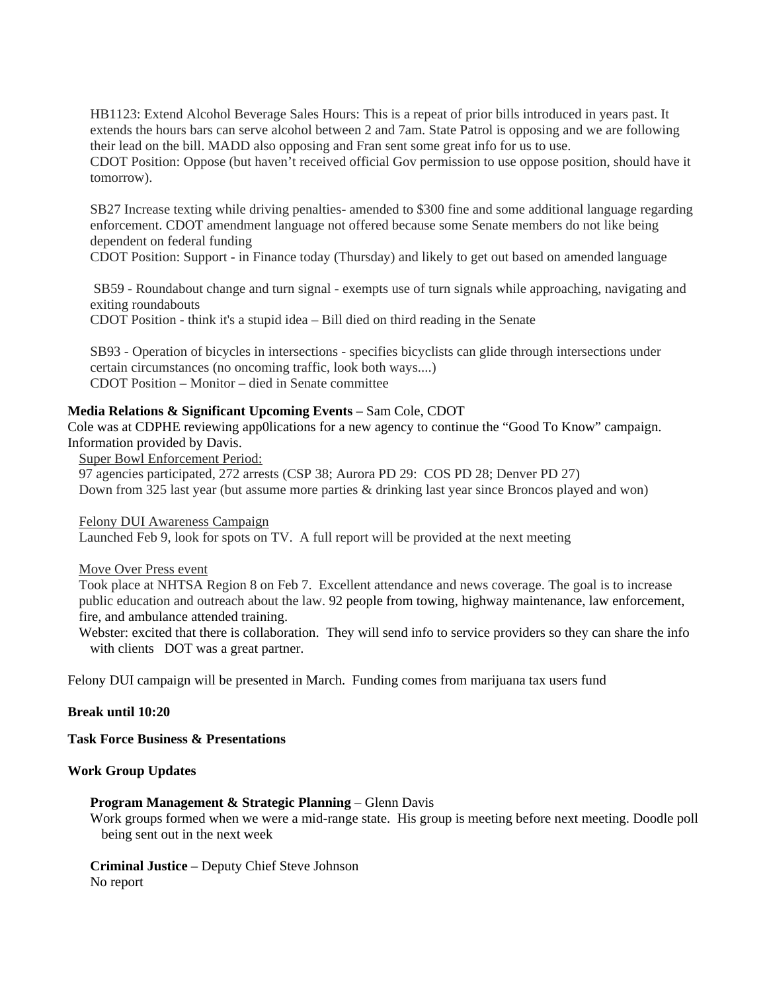HB1123: Extend Alcohol Beverage Sales Hours: This is a repeat of prior bills introduced in years past. It extends the hours bars can serve alcohol between 2 and 7am. State Patrol is opposing and we are following their lead on the bill. MADD also opposing and Fran sent some great info for us to use. CDOT Position: Oppose (but haven't received official Gov permission to use oppose position, should have it

tomorrow).

SB27 Increase texting while driving penalties- amended to \$300 fine and some additional language regarding enforcement. CDOT amendment language not offered because some Senate members do not like being dependent on federal funding

CDOT Position: Support - in Finance today (Thursday) and likely to get out based on amended language

 SB59 - Roundabout change and turn signal - exempts use of turn signals while approaching, navigating and exiting roundabouts

CDOT Position - think it's a stupid idea – Bill died on third reading in the Senate

SB93 - Operation of bicycles in intersections - specifies bicyclists can glide through intersections under certain circumstances (no oncoming traffic, look both ways....) CDOT Position – Monitor – died in Senate committee

### **Media Relations & Significant Upcoming Events** – Sam Cole, CDOT

Cole was at CDPHE reviewing app0lications for a new agency to continue the "Good To Know" campaign. Information provided by Davis.

Super Bowl Enforcement Period:

97 agencies participated, 272 arrests (CSP 38; Aurora PD 29: COS PD 28; Denver PD 27) Down from 325 last year (but assume more parties & drinking last year since Broncos played and won)

Felony DUI Awareness Campaign

Launched Feb 9, look for spots on TV. A full report will be provided at the next meeting

Move Over Press event

Took place at NHTSA Region 8 on Feb 7. Excellent attendance and news coverage. The goal is to increase public education and outreach about the law. 92 people from towing, highway maintenance, law enforcement, fire, and ambulance attended training.

Webster: excited that there is collaboration. They will send info to service providers so they can share the info with clients DOT was a great partner.

Felony DUI campaign will be presented in March. Funding comes from marijuana tax users fund

#### **Break until 10:20**

**Task Force Business & Presentations** 

## **Work Group Updates**

#### **Program Management & Strategic Planning** – Glenn Davis

Work groups formed when we were a mid-range state. His group is meeting before next meeting. Doodle poll being sent out in the next week

**Criminal Justice** – Deputy Chief Steve Johnson No report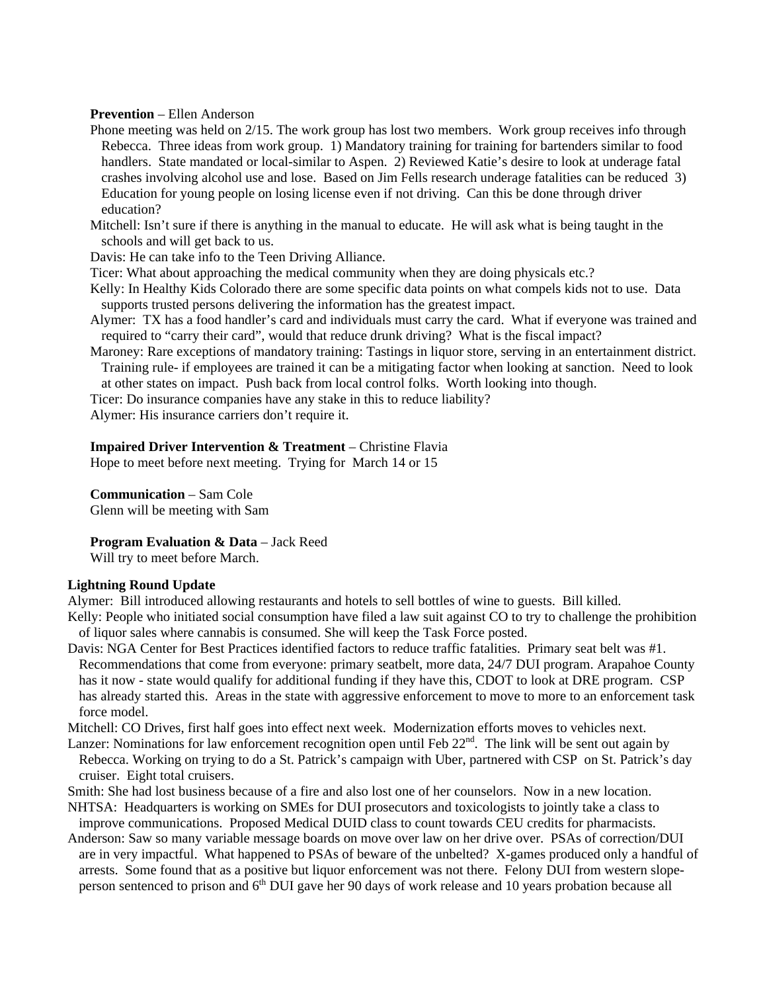#### **Prevention** – Ellen Anderson

- Phone meeting was held on 2/15. The work group has lost two members. Work group receives info through Rebecca. Three ideas from work group. 1) Mandatory training for training for bartenders similar to food handlers. State mandated or local-similar to Aspen. 2) Reviewed Katie's desire to look at underage fatal crashes involving alcohol use and lose. Based on Jim Fells research underage fatalities can be reduced 3) Education for young people on losing license even if not driving. Can this be done through driver education?
- Mitchell: Isn't sure if there is anything in the manual to educate. He will ask what is being taught in the schools and will get back to us.
- Davis: He can take info to the Teen Driving Alliance.
- Ticer: What about approaching the medical community when they are doing physicals etc.?
- Kelly: In Healthy Kids Colorado there are some specific data points on what compels kids not to use. Data supports trusted persons delivering the information has the greatest impact.
- Alymer: TX has a food handler's card and individuals must carry the card. What if everyone was trained and required to "carry their card", would that reduce drunk driving? What is the fiscal impact?
- Maroney: Rare exceptions of mandatory training: Tastings in liquor store, serving in an entertainment district. Training rule- if employees are trained it can be a mitigating factor when looking at sanction. Need to look
- at other states on impact. Push back from local control folks. Worth looking into though.
- Ticer: Do insurance companies have any stake in this to reduce liability?
- Alymer: His insurance carriers don't require it.

## **Impaired Driver Intervention & Treatment** – Christine Flavia

Hope to meet before next meeting. Trying for March 14 or 15

**Communication** – Sam Cole

Glenn will be meeting with Sam

**Program Evaluation & Data** – Jack Reed

Will try to meet before March.

#### **Lightning Round Update**

Alymer: Bill introduced allowing restaurants and hotels to sell bottles of wine to guests. Bill killed.

- Kelly: People who initiated social consumption have filed a law suit against CO to try to challenge the prohibition of liquor sales where cannabis is consumed. She will keep the Task Force posted.
- Davis: NGA Center for Best Practices identified factors to reduce traffic fatalities. Primary seat belt was #1. Recommendations that come from everyone: primary seatbelt, more data, 24/7 DUI program. Arapahoe County has it now - state would qualify for additional funding if they have this, CDOT to look at DRE program. CSP has already started this. Areas in the state with aggressive enforcement to move to more to an enforcement task force model.

Mitchell: CO Drives, first half goes into effect next week. Modernization efforts moves to vehicles next.

- Lanzer: Nominations for law enforcement recognition open until Feb  $22<sup>nd</sup>$ . The link will be sent out again by Rebecca. Working on trying to do a St. Patrick's campaign with Uber, partnered with CSP on St. Patrick's day cruiser. Eight total cruisers.
- Smith: She had lost business because of a fire and also lost one of her counselors. Now in a new location.
- NHTSA: Headquarters is working on SMEs for DUI prosecutors and toxicologists to jointly take a class to improve communications. Proposed Medical DUID class to count towards CEU credits for pharmacists.
- Anderson: Saw so many variable message boards on move over law on her drive over. PSAs of correction/DUI are in very impactful. What happened to PSAs of beware of the unbelted? X-games produced only a handful of arrests. Some found that as a positive but liquor enforcement was not there. Felony DUI from western slopeperson sentenced to prison and 6<sup>th</sup> DUI gave her 90 days of work release and 10 years probation because all